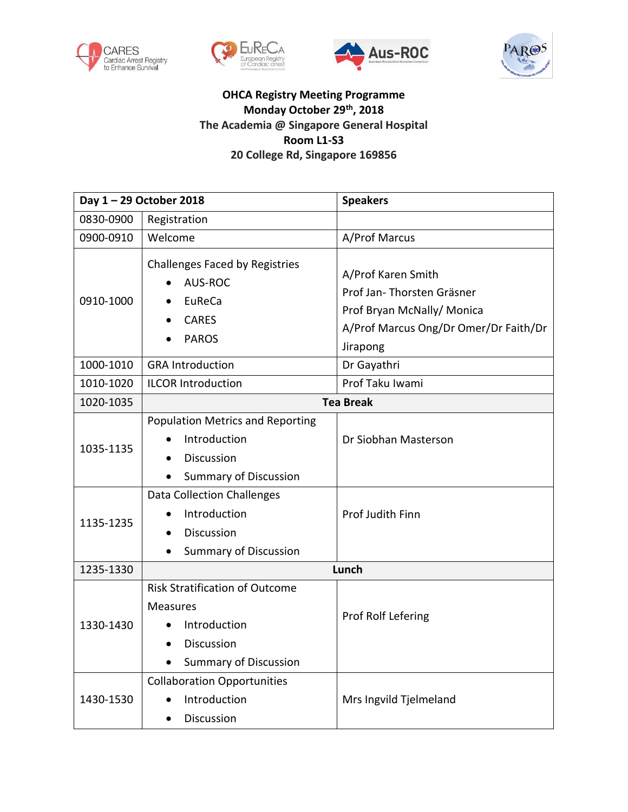







## **OHCA Registry Meeting Programme Monday October 29th, 2018 The Academia @ Singapore General Hospital Room L1-S3 20 College Rd, Singapore 169856**

| Day 1-29 October 2018 |                                                                                                                        | <b>Speakers</b>                                                                                                                     |
|-----------------------|------------------------------------------------------------------------------------------------------------------------|-------------------------------------------------------------------------------------------------------------------------------------|
| 0830-0900             | Registration                                                                                                           |                                                                                                                                     |
| 0900-0910             | Welcome                                                                                                                | A/Prof Marcus                                                                                                                       |
| 0910-1000             | <b>Challenges Faced by Registries</b><br>AUS-ROC<br>EuReCa<br><b>CARES</b><br><b>PAROS</b>                             | A/Prof Karen Smith<br>Prof Jan- Thorsten Gräsner<br>Prof Bryan McNally/ Monica<br>A/Prof Marcus Ong/Dr Omer/Dr Faith/Dr<br>Jirapong |
| 1000-1010             | <b>GRA Introduction</b>                                                                                                | Dr Gayathri                                                                                                                         |
| 1010-1020             | <b>ILCOR Introduction</b>                                                                                              | Prof Taku Iwami                                                                                                                     |
| 1020-1035             | <b>Tea Break</b>                                                                                                       |                                                                                                                                     |
| 1035-1135             | <b>Population Metrics and Reporting</b><br>Introduction<br>Discussion<br><b>Summary of Discussion</b>                  | Dr Siobhan Masterson                                                                                                                |
| 1135-1235             | <b>Data Collection Challenges</b><br>Introduction<br>Discussion<br><b>Summary of Discussion</b>                        | Prof Judith Finn                                                                                                                    |
| 1235-1330             | Lunch                                                                                                                  |                                                                                                                                     |
| 1330-1430             | <b>Risk Stratification of Outcome</b><br><b>Measures</b><br>Introduction<br>Discussion<br><b>Summary of Discussion</b> | Prof Rolf Lefering                                                                                                                  |
| 1430-1530             | <b>Collaboration Opportunities</b><br>Introduction<br>Discussion                                                       | Mrs Ingvild Tjelmeland                                                                                                              |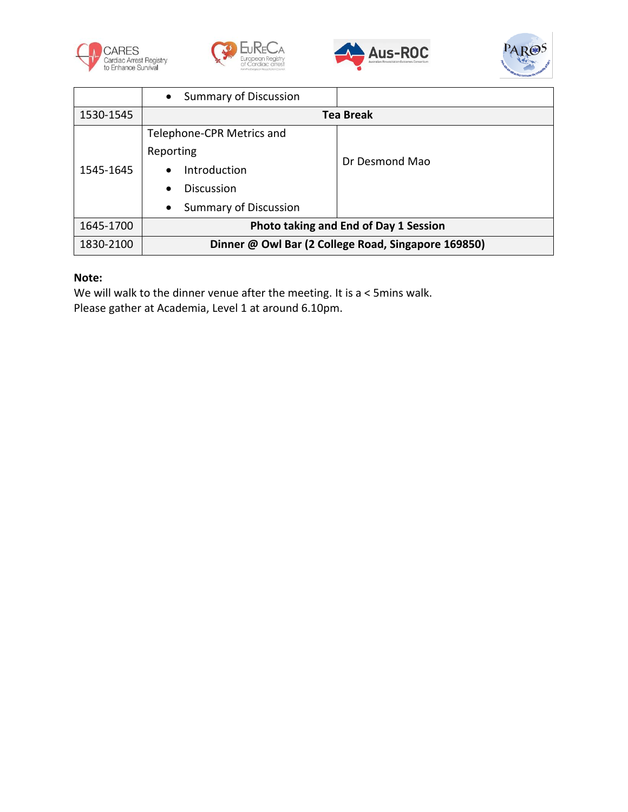







|           | <b>Summary of Discussion</b><br>$\bullet$           |                |
|-----------|-----------------------------------------------------|----------------|
| 1530-1545 | <b>Tea Break</b>                                    |                |
| 1545-1645 | Telephone-CPR Metrics and                           |                |
|           | Reporting                                           | Dr Desmond Mao |
|           | Introduction                                        |                |
|           | <b>Discussion</b><br>$\bullet$                      |                |
|           | <b>Summary of Discussion</b>                        |                |
| 1645-1700 | Photo taking and End of Day 1 Session               |                |
| 1830-2100 | Dinner @ Owl Bar (2 College Road, Singapore 169850) |                |

## **Note:**

We will walk to the dinner venue after the meeting. It is a < 5mins walk. Please gather at Academia, Level 1 at around 6.10pm.